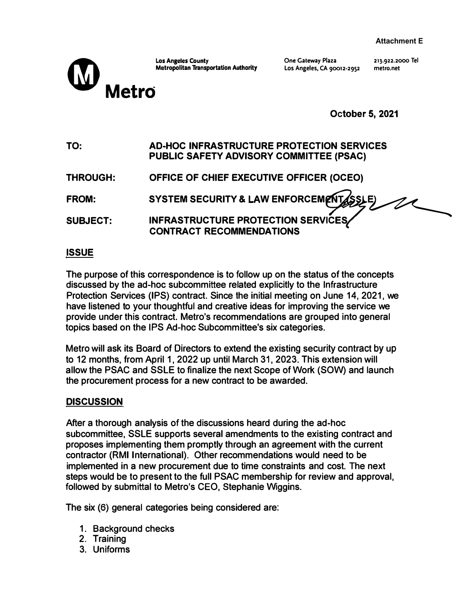

**Metropolitan Transportation Authority** 

**One Gateway Plaza Los Angeles, CA** 90012-2952 213.922.2000 **Tel metro.net** 

**October 5, 2021** 

**TO: AD-HOC INFRASTRUCTURE PROTECTION SERVICES PUBLIC SAFETY ADVISORY COMMITTEE (PSAC)** 

| THROUGH: | OFFICE OF CHIEF EXECUTIVE OFFICER (OCEO) |
|----------|------------------------------------------|
|----------|------------------------------------------|

**FROM: SYSTEM SECURITY & LAW ENFORCEM WISSLE)** 

**SUBJECT: INFRASTRUCTURE PROTECTION SERVl6Es CONTRACT RECOMMENDATIONS** 

# **ISSUE**

**The purpose of this correspondence is to follow up on the status of the concepts discussed by the ad-hoc subcommittee related explicitly to the Infrastructure Protection Services (IPS) contract. Since the initial meeting on June 14, 2021, we have listened to your thoughtful and creative ideas for improving the service we provide under this contract. Metro's recommendations are grouped into general topics based on the IPS Ad-hoc Subcommittee's six categories.** 

**Metro will ask its Board of Directors to extend the existing security contract by up to 12 months, from April 1, 2022 up until March 31, 2023. This extension will allow the PSAC and SSLE to finalize the next Scope of Work (SOW) and launch the procurement process for a new contract to be awarded.** 

# **DISCUSSION**

**After a thorough analysis of the discussions heard during the ad-hoc subcommittee, SSLE supports several amendments to the existing contract and proposes implementing them promptly through an agreement with the current contractor (RMI International). Other recommendations would need to be implemented in a new procurement due to time constraints and cost. The next steps would be to present to the full PSAC membership for review and approval, followed by submittal to Metro's CEO, Stephanie Wiggins.** 

**The six (6) general categories being considered are:** 

- **1. Background checks**
- **2. Training**
- **3. Uniforms**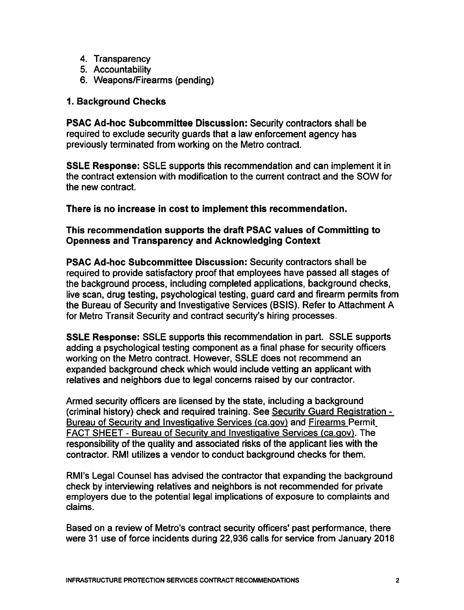- 4. Transparency
- 5. Accountability
- 6. Weapons/Firearms (pending)

# 1. Background Checks

**PSAC Ad-hoc Subcommittee Discussion: Security contractors shall be** required to exclude security guards that a law enforcement agency has previously terminated from working on the Metro contract.

**SSLE Response:** SSLE supports this recommendation and can implement it in the contract extension with modification to the current contract and the SOW for the new contract.

There is no increase in cost to implement this recommendation.

# This recommendation supports the draft PSAC values of Committing to **Openness and Transparency and Acknowledging Context**

PSAC Ad-hoc Subcommittee Discussion: Security contractors shall be required to provide satisfactory proof that employees have passed all stages of the background process, including completed applications, background checks, live scan, drug testing, psychological testing, guard card and firearm permits from the Bureau of Security and Investigative Services (BSIS). Refer to Attachment A for Metro Transit Security and contract security's hiring processes.

**SSLE Response: SSLE supports this recommendation in part. SSLE supports** adding a psychological testing component as a final phase for security officers working on the Metro contract. However, SSLE does not recommend an expanded background check which would include vetting an applicant with relatives and neighbors due to legal concerns raised by our contractor.

Armed security officers are licensed by the state, including a background (criminal history) check and required training. See Security Guard Registration -Bureau of Security and Investigative Services (ca.gov) and Firearms Permit FACT SHEET - Bureau of Security and Investigative Services (ca.gov). The responsibility of the quality and associated risks of the applicant lies with the contractor. RMI utilizes a vendor to conduct background checks for them.

RMI's Legal Counsel has advised the contractor that expanding the background check by interviewing relatives and neighbors is not recommended for private employers due to the potential legal implications of exposure to complaints and claims.

Based on a review of Metro's contract security officers' past performance, there were 31 use of force incidents during 22,936 calls for service from January 2018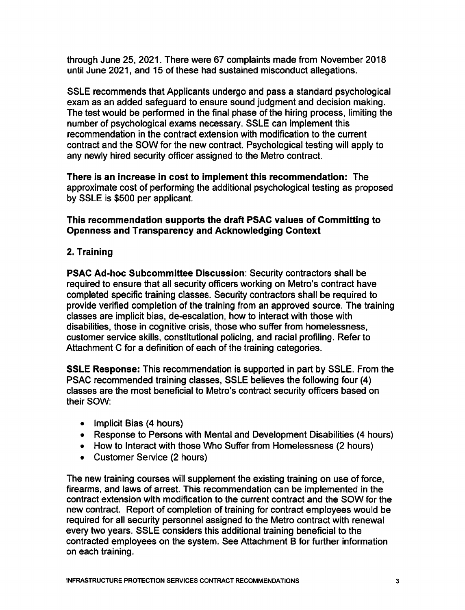through June 25, 2021. There were 67 complaints made from November 2018 until June 2021, and 15 of these had sustained misconduct allegations.

SSLE recommends that Applicants undergo and pass a standard psychological exam as an added safeguard to ensure sound judgment and decision making. The test would be performed in the final phase of the hiring process, limiting the number of psychological exams necessary. SSLE can implement this recommendation in the contract extension with modification to the current contract and the SOW for the new contract. Psychological testing will apply to any newly hired security officer assigned to the Metro contract.

There is an increase in cost to implement this recommendation: The approximate cost of performing the additional psychological testing as proposed by SSLE is \$500 per applicant.

# This recommendation supports the draft PSAC values of Committing to **Openness and Transparency and Acknowledging Context**

2. Training

PSAC Ad-hoc Subcommittee Discussion: Security contractors shall be required to ensure that all security officers working on Metro's contract have completed specific training classes. Security contractors shall be required to provide verified completion of the training from an approved source. The training classes are implicit bias, de-escalation, how to interact with those with disabilities, those in cognitive crisis, those who suffer from homelessness, customer service skills, constitutional policing, and racial profiling. Refer to Attachment C for a definition of each of the training categories.

**SSLE Response: This recommendation is supported in part by SSLE. From the** PSAC recommended training classes, SSLE believes the following four (4) classes are the most beneficial to Metro's contract security officers based on their SOW:

- Implicit Bias (4 hours)
- Response to Persons with Mental and Development Disabilities (4 hours)
- How to Interact with those Who Suffer from Homelessness (2 hours)
- Customer Service (2 hours)

The new training courses will supplement the existing training on use of force, firearms, and laws of arrest. This recommendation can be implemented in the contract extension with modification to the current contract and the SOW for the new contract. Report of completion of training for contract employees would be required for all security personnel assigned to the Metro contract with renewal every two years. SSLE considers this additional training beneficial to the contracted employees on the system. See Attachment B for further information on each training.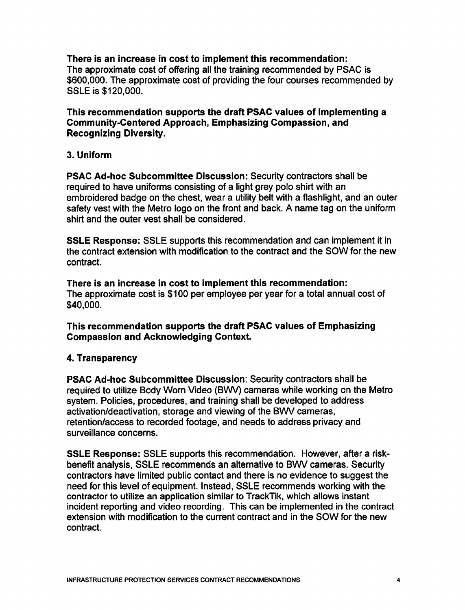There is an increase in cost to implement this recommendation: The approximate cost of offering all the training recommended by PSAC is \$600,000. The approximate cost of providing the four courses recommended by SSLE is \$120,000.

This recommendation supports the draft PSAC values of Implementing a **Community-Centered Approach, Emphasizing Compassion, and Recognizing Diversity.** 

# 3. Uniform

PSAC Ad-hoc Subcommittee Discussion: Security contractors shall be required to have uniforms consisting of a light grey polo shirt with an embroidered badge on the chest, wear a utility belt with a flashlight, and an outer safety vest with the Metro logo on the front and back. A name tag on the uniform shirt and the outer vest shall be considered.

**SSLE Response:** SSLE supports this recommendation and can implement it in the contract extension with modification to the contract and the SOW for the new contract.

There is an increase in cost to implement this recommendation: The approximate cost is \$100 per employee per year for a total annual cost of \$40,000.

This recommendation supports the draft PSAC values of Emphasizing **Compassion and Acknowledging Context.** 

### 4. Transparency

PSAC Ad-hoc Subcommittee Discussion: Security contractors shall be required to utilize Body Worn Video (BWV) cameras while working on the Metro system. Policies, procedures, and training shall be developed to address activation/deactivation, storage and viewing of the BWV cameras, retention/access to recorded footage, and needs to address privacy and surveillance concerns.

**SSLE Response:** SSLE supports this recommendation. However, after a riskbenefit analysis, SSLE recommends an alternative to BWV cameras. Security contractors have limited public contact and there is no evidence to suggest the need for this level of equipment. Instead, SSLE recommends working with the contractor to utilize an application similar to TrackTik, which allows instant incident reporting and video recording. This can be implemented in the contract extension with modification to the current contract and in the SOW for the new contract.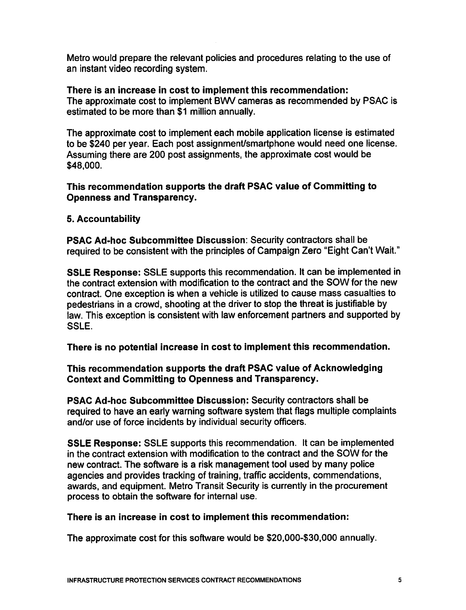Metro would prepare the relevant policies and procedures relating to the use of an instant video recording system.

# There is an increase in cost to implement this recommendation:

The approximate cost to implement BWV cameras as recommended by PSAC is estimated to be more than \$1 million annually.

The approximate cost to implement each mobile application license is estimated to be \$240 per year. Each post assignment/smartphone would need one license. Assuming there are 200 post assignments, the approximate cost would be \$48,000.

# This recommendation supports the draft PSAC value of Committing to **Openness and Transparency.**

# 5. Accountability

**PSAC Ad-hoc Subcommittee Discussion: Security contractors shall be** required to be consistent with the principles of Campaign Zero "Eight Can't Wait."

SSLE Response: SSLE supports this recommendation. It can be implemented in the contract extension with modification to the contract and the SOW for the new contract. One exception is when a vehicle is utilized to cause mass casualties to pedestrians in a crowd, shooting at the driver to stop the threat is justifiable by law. This exception is consistent with law enforcement partners and supported by SSLE.

There is no potential increase in cost to implement this recommendation.

# This recommendation supports the draft PSAC value of Acknowledging **Context and Committing to Openness and Transparency.**

**PSAC Ad-hoc Subcommittee Discussion: Security contractors shall be** required to have an early warning software system that flags multiple complaints and/or use of force incidents by individual security officers.

SSLE Response: SSLE supports this recommendation. It can be implemented in the contract extension with modification to the contract and the SOW for the new contract. The software is a risk management tool used by many police agencies and provides tracking of training, traffic accidents, commendations, awards, and equipment. Metro Transit Security is currently in the procurement process to obtain the software for internal use.

# There is an increase in cost to implement this recommendation:

The approximate cost for this software would be \$20,000-\$30,000 annually.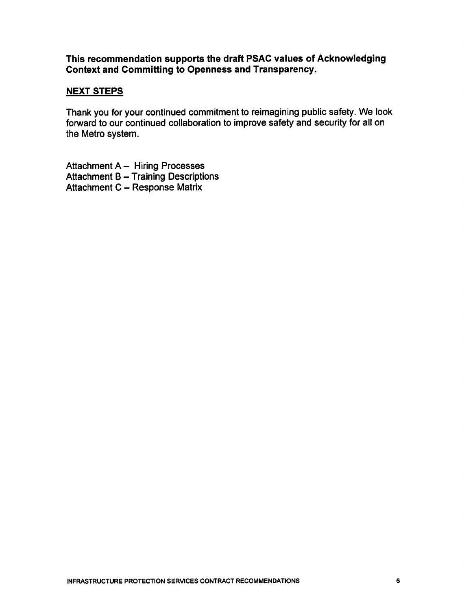This recommendation supports the draft PSAC values of Acknowledging **Context and Committing to Openness and Transparency.** 

# **NEXT STEPS**

Thank you for your continued commitment to reimagining public safety. We look forward to our continued collaboration to improve safety and security for all on the Metro system.

Attachment A - Hiring Processes **Attachment B - Training Descriptions** Attachment C - Response Matrix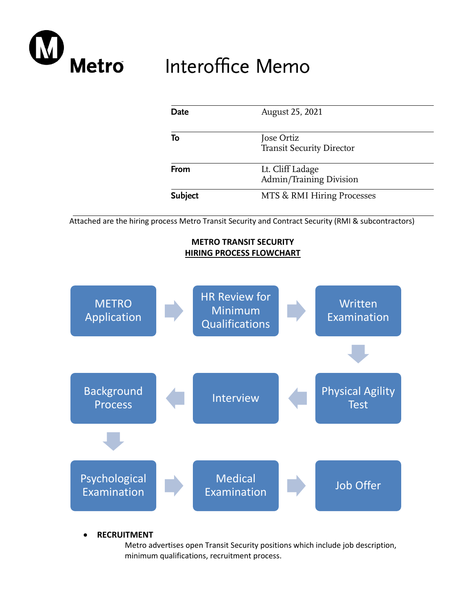

# Interoffice Memo

| Date           | August 25, 2021                                |  |  |  |
|----------------|------------------------------------------------|--|--|--|
| To             | Jose Ortiz<br><b>Transit Security Director</b> |  |  |  |
| From           | Lt. Cliff Ladage<br>Admin/Training Division    |  |  |  |
| <b>Subject</b> | MTS & RMI Hiring Processes                     |  |  |  |

Attached are the hiring process Metro Transit Security and Contract Security (RMI & subcontractors)

# **METRO TRANSIT SECURITY HIRING PROCESS FLOWCHART**



• **RECRUITMENT**

Metro advertises open Transit Security positions which include job description, minimum qualifications, recruitment process.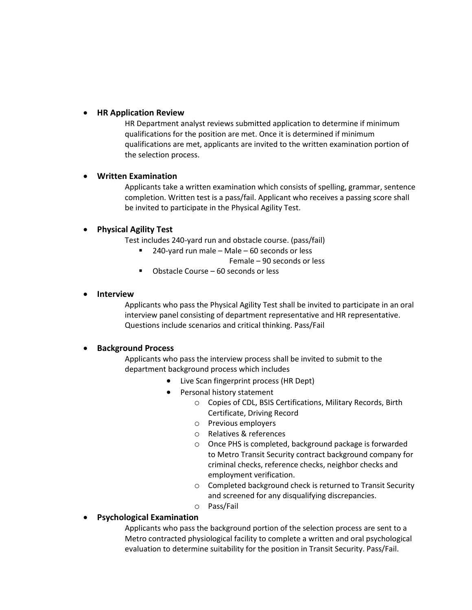#### • **HR Application Review**

HR Department analyst reviews submitted application to determine if minimum qualifications for the position are met. Once it is determined if minimum qualifications are met, applicants are invited to the written examination portion of the selection process.

#### • **Written Examination**

Applicants take a written examination which consists of spelling, grammar, sentence completion. Written test is a pass/fail. Applicant who receives a passing score shall be invited to participate in the Physical Agility Test.

#### • **Physical Agility Test**

Test includes 240-yard run and obstacle course. (pass/fail)

 $240$ -yard run male – Male – 60 seconds or less

Female – 90 seconds or less

■ Obstacle Course – 60 seconds or less

#### • **Interview**

Applicants who pass the Physical Agility Test shall be invited to participate in an oral interview panel consisting of department representative and HR representative. Questions include scenarios and critical thinking. Pass/Fail

#### • **Background Process**

Applicants who pass the interview process shall be invited to submit to the department background process which includes

- Live Scan fingerprint process (HR Dept)
- Personal history statement
	- o Copies of CDL, BSIS Certifications, Military Records, Birth Certificate, Driving Record
	- o Previous employers
	- o Relatives & references
	- o Once PHS is completed, background package is forwarded to Metro Transit Security contract background company for criminal checks, reference checks, neighbor checks and employment verification.
	- o Completed background check is returned to Transit Security and screened for any disqualifying discrepancies.
	- o Pass/Fail

#### • **Psychological Examination**

Applicants who pass the background portion of the selection process are sent to a Metro contracted physiological facility to complete a written and oral psychological evaluation to determine suitability for the position in Transit Security. Pass/Fail.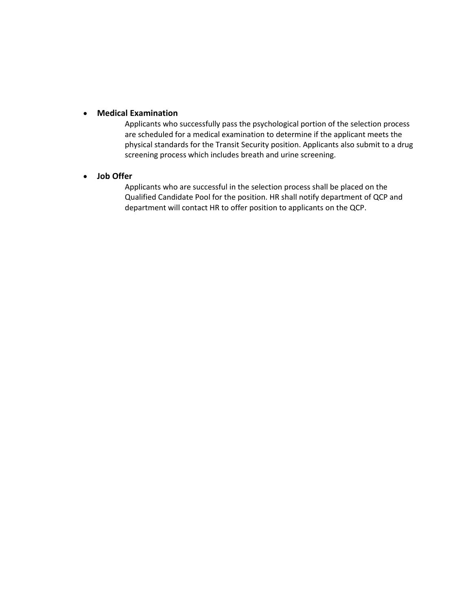#### • **Medical Examination**

Applicants who successfully pass the psychological portion of the selection process are scheduled for a medical examination to determine if the applicant meets the physical standards for the Transit Security position. Applicants also submit to a drug screening process which includes breath and urine screening.

#### • **Job Offer**

Applicants who are successful in the selection process shall be placed on the Qualified Candidate Pool for the position. HR shall notify department of QCP and department will contact HR to offer position to applicants on the QCP.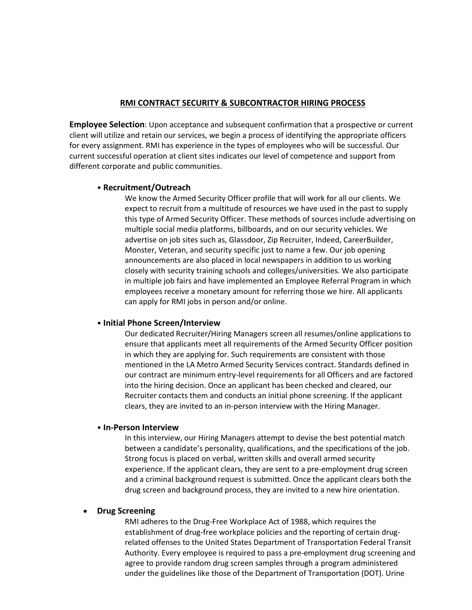#### **RMI CONTRACT SECURITY & SUBCONTRACTOR HIRING PROCESS**

**Employee Selection**: Upon acceptance and subsequent confirmation that a prospective or current client will utilize and retain our services, we begin a process of identifying the appropriate officers for every assignment. RMI has experience in the types of employees who will be successful. Our current successful operation at client sites indicates our level of competence and support from different corporate and public communities.

#### • **Recruitment/Outreach**

We know the Armed Security Officer profile that will work for all our clients. We expect to recruit from a multitude of resources we have used in the past to supply this type of Armed Security Officer. These methods of sources include advertising on multiple social media platforms, billboards, and on our security vehicles. We advertise on job sites such as, Glassdoor, Zip Recruiter, Indeed, CareerBuilder, Monster, Veteran, and security specific just to name a few. Our job opening announcements are also placed in local newspapers in addition to us working closely with security training schools and colleges/universities. We also participate in multiple job fairs and have implemented an Employee Referral Program in which employees receive a monetary amount for referring those we hire. All applicants can apply for RMI jobs in person and/or online.

#### • **Initial Phone Screen/Interview**

Our dedicated Recruiter/Hiring Managers screen all resumes/online applications to ensure that applicants meet all requirements of the Armed Security Officer position in which they are applying for. Such requirements are consistent with those mentioned in the LA Metro Armed Security Services contract. Standards defined in our contract are minimum entry-level requirements for all Officers and are factored into the hiring decision. Once an applicant has been checked and cleared, our Recruiter contacts them and conducts an initial phone screening. If the applicant clears, they are invited to an in-person interview with the Hiring Manager.

#### • **In-Person Interview**

In this interview, our Hiring Managers attempt to devise the best potential match between a candidate's personality, qualifications, and the specifications of the job. Strong focus is placed on verbal, written skills and overall armed security experience. If the applicant clears, they are sent to a pre-employment drug screen and a criminal background request is submitted. Once the applicant clears both the drug screen and background process, they are invited to a new hire orientation.

#### • **Drug Screening**

RMI adheres to the Drug-Free Workplace Act of 1988, which requires the establishment of drug-free workplace policies and the reporting of certain drugrelated offenses to the United States Department of Transportation Federal Transit Authority. Every employee is required to pass a pre-employment drug screening and agree to provide random drug screen samples through a program administered under the guidelines like those of the Department of Transportation (DOT). Urine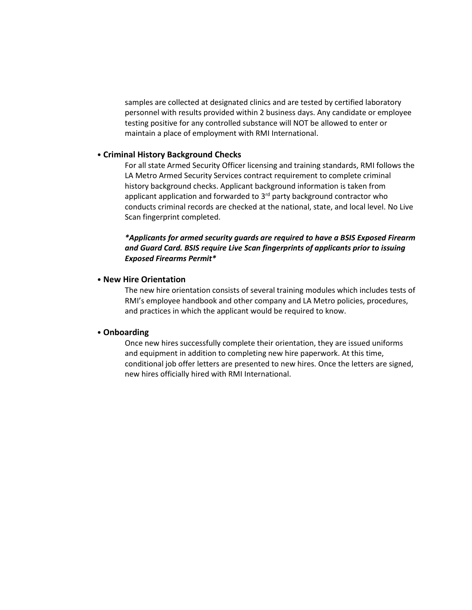samples are collected at designated clinics and are tested by certified laboratory personnel with results provided within 2 business days. Any candidate or employee testing positive for any controlled substance will NOT be allowed to enter or maintain a place of employment with RMI International.

#### • **Criminal History Background Checks**

For all state Armed Security Officer licensing and training standards, RMI follows the LA Metro Armed Security Services contract requirement to complete criminal history background checks. Applicant background information is taken from applicant application and forwarded to  $3<sup>rd</sup>$  party background contractor who conducts criminal records are checked at the national, state, and local level. No Live Scan fingerprint completed.

#### *\*Applicants for armed security guards are required to have a BSIS Exposed Firearm and Guard Card. BSIS require Live Scan fingerprints of applicants prior to issuing Exposed Firearms Permit\**

#### • **New Hire Orientation**

The new hire orientation consists of several training modules which includes tests of RMI's employee handbook and other company and LA Metro policies, procedures, and practices in which the applicant would be required to know.

#### • **Onboarding**

Once new hires successfully complete their orientation, they are issued uniforms and equipment in addition to completing new hire paperwork. At this time, conditional job offer letters are presented to new hires. Once the letters are signed, new hires officially hired with RMI International.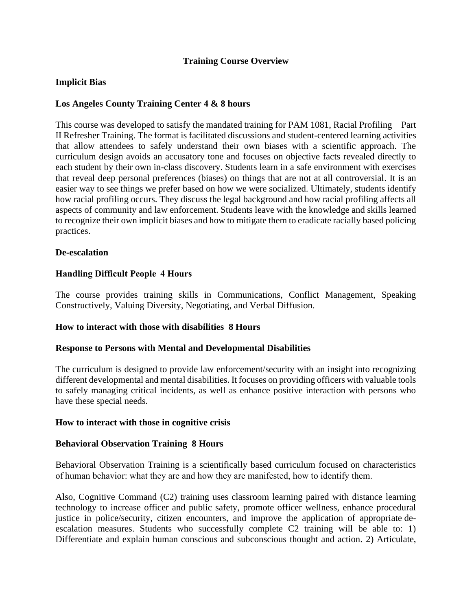# **Training Course Overview**

# **Implicit Bias**

### **Los Angeles County Training Center 4 & 8 hours**

This course was developed to satisfy the mandated training for PAM 1081, Racial Profiling Part II Refresher Training. The format is facilitated discussions and student-centered learning activities that allow attendees to safely understand their own biases with a scientific approach. The curriculum design avoids an accusatory tone and focuses on objective facts revealed directly to each student by their own in-class discovery. Students learn in a safe environment with exercises that reveal deep personal preferences (biases) on things that are not at all controversial. It is an easier way to see things we prefer based on how we were socialized. Ultimately, students identify how racial profiling occurs. They discuss the legal background and how racial profiling affects all aspects of community and law enforcement. Students leave with the knowledge and skills learned to recognize their own implicit biases and how to mitigate them to eradicate racially based policing practices.

#### **De-escalation**

#### **Handling Difficult People  4 Hours**

The course provides training skills in Communications, Conflict Management, Speaking Constructively, Valuing Diversity, Negotiating, and Verbal Diffusion.

#### **How to interact with those with disabilities 8 Hours**

#### **Response to Persons with Mental and Developmental Disabilities**

The curriculum is designed to provide law enforcement/security with an insight into recognizing different developmental and mental disabilities. It focuses on providing officers with valuable tools to safely managing critical incidents, as well as enhance positive interaction with persons who have these special needs.

#### **How to interact with those in cognitive crisis**

#### **Behavioral Observation Training 8 Hours**

Behavioral Observation Training is a scientifically based curriculum focused on characteristics of human behavior: what they are and how they are manifested, how to identify them.

Also, Cognitive Command (C2) training uses classroom learning paired with distance learning technology to increase officer and public safety, promote officer wellness, enhance procedural justice in police/security, citizen encounters, and improve the application of appropriate deescalation measures. Students who successfully complete C2 training will be able to: 1) Differentiate and explain human conscious and subconscious thought and action. 2) Articulate,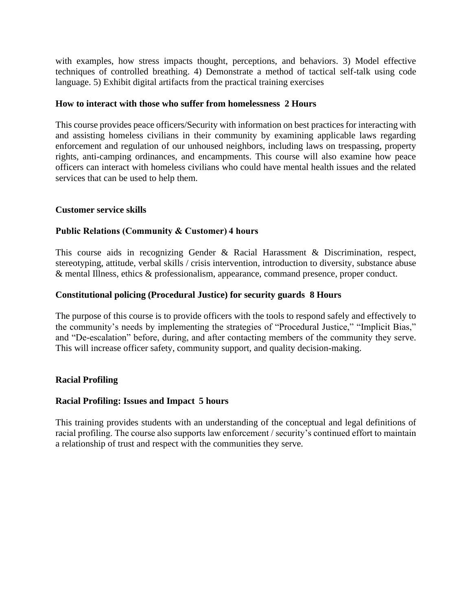with examples, how stress impacts thought, perceptions, and behaviors. 3) Model effective techniques of controlled breathing. 4) Demonstrate a method of tactical self-talk using code language. 5) Exhibit digital artifacts from the practical training exercises

### **How to interact with those who suffer from homelessness 2 Hours**

This course provides peace officers/Security with information on best practices for interacting with and assisting homeless civilians in their community by examining applicable laws regarding enforcement and regulation of our unhoused neighbors, including laws on trespassing, property rights, anti-camping ordinances, and encampments. This course will also examine how peace officers can interact with homeless civilians who could have mental health issues and the related services that can be used to help them.

#### **Customer service skills**

# **Public Relations (Community & Customer) 4 hours**

This course aids in recognizing Gender & Racial Harassment & Discrimination, respect, stereotyping, attitude, verbal skills / crisis intervention, introduction to diversity, substance abuse & mental Illness, ethics & professionalism, appearance, command presence, proper conduct.

# **Constitutional policing (Procedural Justice) for security guards 8 Hours**

The purpose of this course is to provide officers with the tools to respond safely and effectively to the community's needs by implementing the strategies of "Procedural Justice," "Implicit Bias," and "De-escalation" before, during, and after contacting members of the community they serve. This will increase officer safety, community support, and quality decision-making.

#### **Racial Profiling**

#### **Racial Profiling: Issues and Impact 5 hours**

This training provides students with an understanding of the conceptual and legal definitions of racial profiling. The course also supports law enforcement / security's continued effort to maintain a relationship of trust and respect with the communities they serve.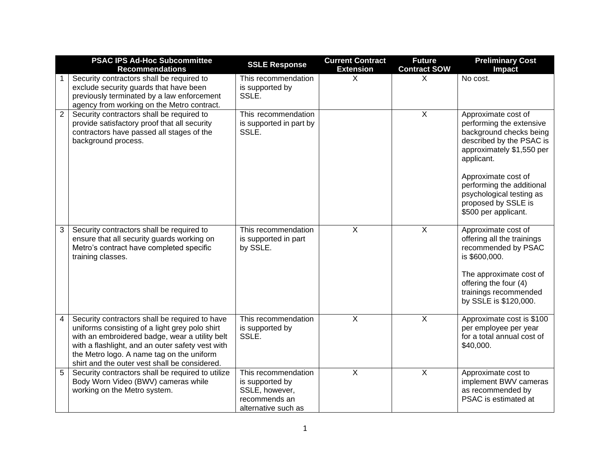|                | <b>PSAC IPS Ad-Hoc Subcommittee</b><br><b>Recommendations</b>                                                                                                                                                                                                                                        | <b>SSLE Response</b>                                                                             | <b>Current Contract</b><br><b>Extension</b> | <b>Future</b><br><b>Contract SOW</b> | <b>Preliminary Cost</b><br>Impact                                                                                                                                                                                                                                                |
|----------------|------------------------------------------------------------------------------------------------------------------------------------------------------------------------------------------------------------------------------------------------------------------------------------------------------|--------------------------------------------------------------------------------------------------|---------------------------------------------|--------------------------------------|----------------------------------------------------------------------------------------------------------------------------------------------------------------------------------------------------------------------------------------------------------------------------------|
| 1              | Security contractors shall be required to<br>exclude security guards that have been<br>previously terminated by a law enforcement<br>agency from working on the Metro contract.                                                                                                                      | This recommendation<br>is supported by<br>SSLE.                                                  | $\sf X$                                     | X                                    | No cost.                                                                                                                                                                                                                                                                         |
| $\overline{2}$ | Security contractors shall be required to<br>provide satisfactory proof that all security<br>contractors have passed all stages of the<br>background process.                                                                                                                                        | This recommendation<br>is supported in part by<br>SSLE.                                          |                                             | $\mathsf{X}$                         | Approximate cost of<br>performing the extensive<br>background checks being<br>described by the PSAC is<br>approximately \$1,550 per<br>applicant.<br>Approximate cost of<br>performing the additional<br>psychological testing as<br>proposed by SSLE is<br>\$500 per applicant. |
| 3              | Security contractors shall be required to<br>ensure that all security guards working on<br>Metro's contract have completed specific<br>training classes.                                                                                                                                             | This recommendation<br>is supported in part<br>by SSLE.                                          | $\overline{X}$                              | $\overline{X}$                       | Approximate cost of<br>offering all the trainings<br>recommended by PSAC<br>is \$600,000.<br>The approximate cost of<br>offering the four (4)<br>trainings recommended<br>by SSLE is \$120,000.                                                                                  |
| $\overline{4}$ | Security contractors shall be required to have<br>uniforms consisting of a light grey polo shirt<br>with an embroidered badge, wear a utility belt<br>with a flashlight, and an outer safety vest with<br>the Metro logo. A name tag on the uniform<br>shirt and the outer vest shall be considered. | This recommendation<br>is supported by<br>SSLE.                                                  | $\overline{X}$                              | $\overline{X}$                       | Approximate cost is \$100<br>per employee per year<br>for a total annual cost of<br>\$40,000.                                                                                                                                                                                    |
| 5              | Security contractors shall be required to utilize<br>Body Worn Video (BWV) cameras while<br>working on the Metro system.                                                                                                                                                                             | This recommendation<br>is supported by<br>SSLE, however,<br>recommends an<br>alternative such as | $\overline{\mathsf{x}}$                     | $\overline{X}$                       | Approximate cost to<br>implement BWV cameras<br>as recommended by<br>PSAC is estimated at                                                                                                                                                                                        |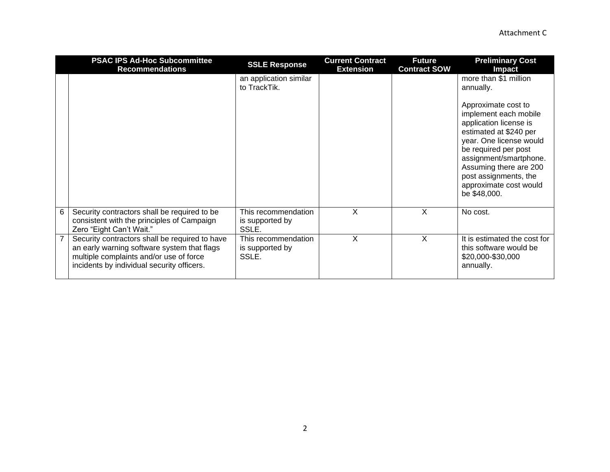| <b>PSAC IPS Ad-Hoc Subcommittee</b><br><b>Recommendations</b>                                                                                                                          | <b>SSLE Response</b>                            | <b>Current Contract</b><br><b>Extension</b> | <b>Future</b><br><b>Contract SOW</b> | <b>Preliminary Cost</b><br><b>Impact</b>                                                                                                                                                                                                                                   |
|----------------------------------------------------------------------------------------------------------------------------------------------------------------------------------------|-------------------------------------------------|---------------------------------------------|--------------------------------------|----------------------------------------------------------------------------------------------------------------------------------------------------------------------------------------------------------------------------------------------------------------------------|
|                                                                                                                                                                                        | an application similar<br>to TrackTik.          |                                             |                                      | more than \$1 million<br>annually.                                                                                                                                                                                                                                         |
|                                                                                                                                                                                        |                                                 |                                             |                                      | Approximate cost to<br>implement each mobile<br>application license is<br>estimated at \$240 per<br>year. One license would<br>be required per post<br>assignment/smartphone.<br>Assuming there are 200<br>post assignments, the<br>approximate cost would<br>be \$48,000. |
| 6<br>Security contractors shall be required to be<br>consistent with the principles of Campaign<br>Zero "Eight Can't Wait."                                                            | This recommendation<br>is supported by<br>SSLE. | X                                           | X                                    | No cost.                                                                                                                                                                                                                                                                   |
| Security contractors shall be required to have<br>an early warning software system that flags<br>multiple complaints and/or use of force<br>incidents by individual security officers. | This recommendation<br>is supported by<br>SSLE. | X                                           | X                                    | It is estimated the cost for<br>this software would be<br>\$20,000-\$30,000<br>annually.                                                                                                                                                                                   |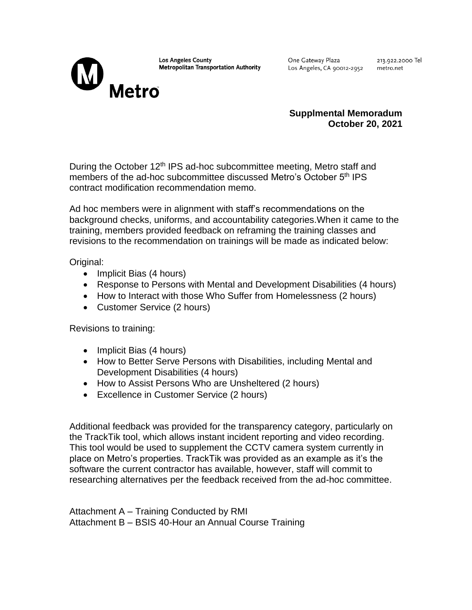

**Los Angeles County Metropolitan Transportation Authority**  One Gateway Plaza Los Angeles, CA 90012-2952

213.922.2000 Tel metro.net

### **Supplmental Memoradum October 20, 2021**

During the October 12<sup>th</sup> IPS ad-hoc subcommittee meeting, Metro staff and members of the ad-hoc subcommittee discussed Metro's October 5<sup>th</sup> IPS contract modification recommendation memo.

Ad hoc members were in alignment with staff's recommendations on the background checks, uniforms, and accountability categories.When it came to the training, members provided feedback on reframing the training classes and revisions to the recommendation on trainings will be made as indicated below:

Original:

- Implicit Bias (4 hours)
- Response to Persons with Mental and Development Disabilities (4 hours)
- How to Interact with those Who Suffer from Homelessness (2 hours)
- Customer Service (2 hours)

Revisions to training:

- Implicit Bias (4 hours)
- How to Better Serve Persons with Disabilities, including Mental and Development Disabilities (4 hours)
- How to Assist Persons Who are Unsheltered (2 hours)
- Excellence in Customer Service (2 hours)

Additional feedback was provided for the transparency category, particularly on the TrackTik tool, which allows instant incident reporting and video recording. This tool would be used to supplement the CCTV camera system currently in place on Metro's properties. TrackTik was provided as an example as it's the software the current contractor has available, however, staff will commit to researching alternatives per the feedback received from the ad-hoc committee.

Attachment A – Training Conducted by RMI Attachment B – BSIS 40-Hour an Annual Course Training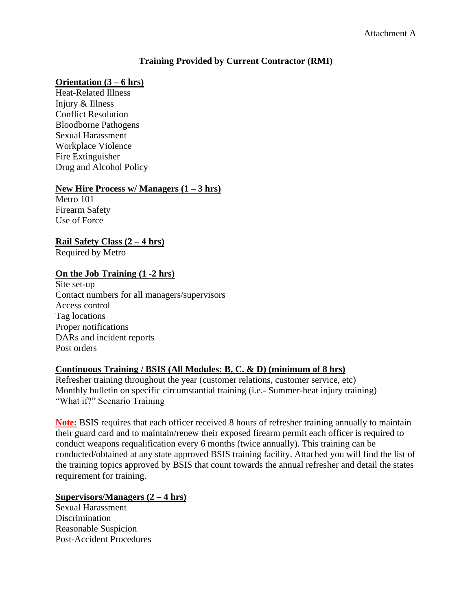# **Training Provided by Current Contractor (RMI)**

#### **Orientation (3 – 6 hrs)**

Heat-Related Illness Injury & Illness Conflict Resolution Bloodborne Pathogens Sexual Harassment Workplace Violence Fire Extinguisher Drug and Alcohol Policy

#### **New Hire Process w/ Managers (1 – 3 hrs)**

Metro 101 Firearm Safety Use of Force

**Rail Safety Class (2 – 4 hrs)**

Required by Metro

#### **On the Job Training (1 -2 hrs)**

Site set-up Contact numbers for all managers/supervisors Access control Tag locations Proper notifications DARs and incident reports Post orders

### **Continuous Training / BSIS (All Modules: B, C. & D) (minimum of 8 hrs)**

Refresher training throughout the year (customer relations, customer service, etc) Monthly bulletin on specific circumstantial training (i.e.- Summer-heat injury training) "What if?" Scenario Training

**Note:** BSIS requires that each officer received 8 hours of refresher training annually to maintain their guard card and to maintain/renew their exposed firearm permit each officer is required to conduct weapons requalification every 6 months (twice annually). This training can be conducted/obtained at any state approved BSIS training facility. Attached you will find the list of the training topics approved by BSIS that count towards the annual refresher and detail the states requirement for training.

#### **Supervisors/Managers (2 – 4 hrs)**

Sexual Harassment **Discrimination** Reasonable Suspicion Post-Accident Procedures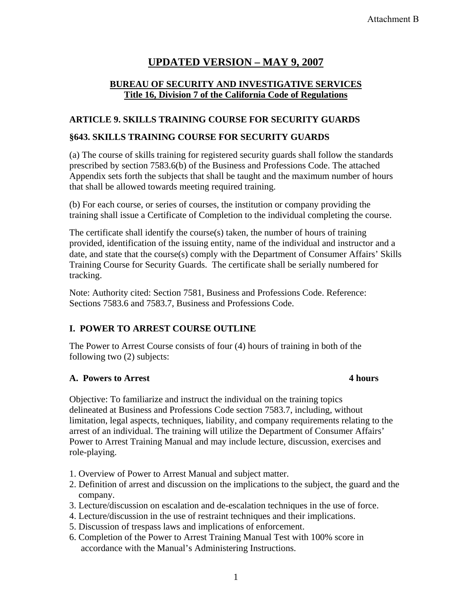# **UPDATED VERSION – MAY 9, 2007**

# **BUREAU OF SECURITY AND INVESTIGATIVE SERVICES Title 16, Division 7 of the California Code of Regulations**

# **ARTICLE 9. SKILLS TRAINING COURSE FOR SECURITY GUARDS**

# **§643. SKILLS TRAINING COURSE FOR SECURITY GUARDS**

(a) The course of skills training for registered security guards shall follow the standards prescribed by section 7583.6(b) of the Business and Professions Code. The attached Appendix sets forth the subjects that shall be taught and the maximum number of hours that shall be allowed towards meeting required training.

(b) For each course, or series of courses, the institution or company providing the training shall issue a Certificate of Completion to the individual completing the course.

The certificate shall identify the course(s) taken, the number of hours of training provided, identification of the issuing entity, name of the individual and instructor and a date, and state that the course(s) comply with the Department of Consumer Affairs' Skills Training Course for Security Guards. The certificate shall be serially numbered for tracking.

Note: Authority cited: Section 7581, Business and Professions Code. Reference: Sections 7583.6 and 7583.7, Business and Professions Code.

# **I. POWER TO ARREST COURSE OUTLINE**

The Power to Arrest Course consists of four (4) hours of training in both of the following two (2) subjects:

# **A. Powers to Arrest 4 hours**

Objective: To familiarize and instruct the individual on the training topics delineated at Business and Professions Code section 7583.7, including, without limitation, legal aspects, techniques, liability, and company requirements relating to the arrest of an individual. The training will utilize the Department of Consumer Affairs' Power to Arrest Training Manual and may include lecture, discussion, exercises and role-playing.

- 1. Overview of Power to Arrest Manual and subject matter.
- 2. Definition of arrest and discussion on the implications to the subject, the guard and the company.
- 3. Lecture/discussion on escalation and de-escalation techniques in the use of force.
- 4. Lecture/discussion in the use of restraint techniques and their implications.
- 5. Discussion of trespass laws and implications of enforcement.
- 6. Completion of the Power to Arrest Training Manual Test with 100% score in accordance with the Manual's Administering Instructions.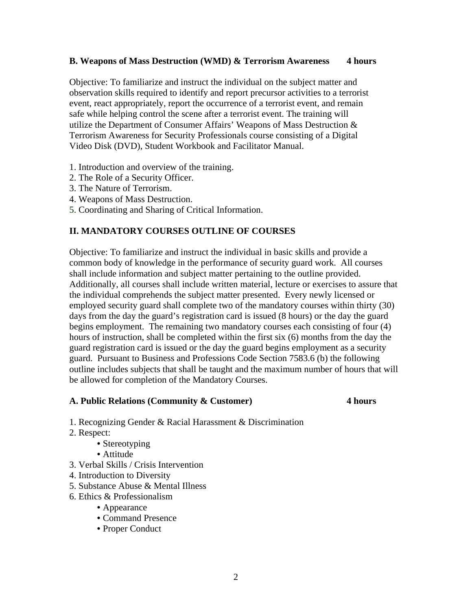#### **B. Weapons of Mass Destruction (WMD) & Terrorism Awareness 4 hours**

Objective: To familiarize and instruct the individual on the subject matter and observation skills required to identify and report precursor activities to a terrorist event, react appropriately, report the occurrence of a terrorist event, and remain safe while helping control the scene after a terrorist event. The training will utilize the Department of Consumer Affairs' Weapons of Mass Destruction & Terrorism Awareness for Security Professionals course consisting of a Digital Video Disk (DVD), Student Workbook and Facilitator Manual.

- 1. Introduction and overview of the training.
- 2. The Role of a Security Officer.
- 3. The Nature of Terrorism.
- 4. Weapons of Mass Destruction.
- 5. Coordinating and Sharing of Critical Information.

#### **II. MANDATORY COURSES OUTLINE OF COURSES**

Objective: To familiarize and instruct the individual in basic skills and provide a common body of knowledge in the performance of security guard work. All courses shall include information and subject matter pertaining to the outline provided. Additionally, all courses shall include written material, lecture or exercises to assure that the individual comprehends the subject matter presented. Every newly licensed or employed security guard shall complete two of the mandatory courses within thirty (30) days from the day the guard's registration card is issued (8 hours) or the day the guard begins employment. The remaining two mandatory courses each consisting of four (4) hours of instruction, shall be completed within the first six (6) months from the day the guard registration card is issued or the day the guard begins employment as a security guard. Pursuant to Business and Professions Code Section 7583.6 (b) the following outline includes subjects that shall be taught and the maximum number of hours that will be allowed for completion of the Mandatory Courses.

#### **A. Public Relations (Community & Customer) 4 hours**

- 1. Recognizing Gender & Racial Harassment & Discrimination
- 2. Respect:
	- Stereotyping
	- Attitude
- 3. Verbal Skills / Crisis Intervention
- 4. Introduction to Diversity
- 5. Substance Abuse & Mental Illness
- 6. Ethics & Professionalism
	- Appearance
	- Command Presence
	- Proper Conduct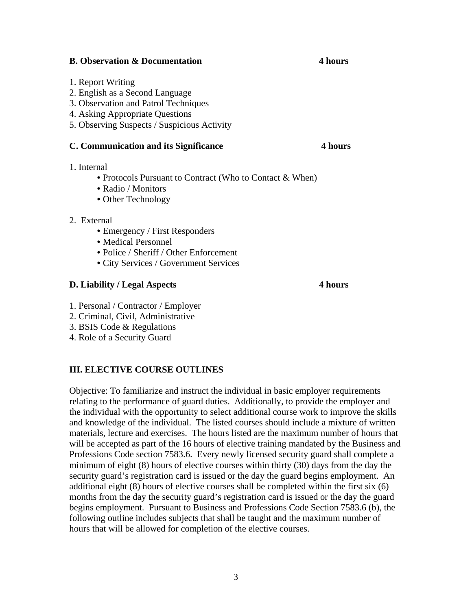#### **B. Observation & Documentation 4 hours** 4 hours

- 1. Report Writing
- 2. English as a Second Language
- 3. Observation and Patrol Techniques
- 4. Asking Appropriate Questions
- 5. Observing Suspects / Suspicious Activity

#### **C. Communication and its Significance 4 hours**

- 1. Internal
	- Protocols Pursuant to Contract (Who to Contact & When)
	- Radio / Monitors
	- Other Technology
- 2. External
	- Emergency / First Responders
	- Medical Personnel
	- Police / Sheriff / Other Enforcement
	- City Services / Government Services

#### **D. Liability / Legal Aspects 4 hours**

- 1. Personal / Contractor / Employer
- 2. Criminal, Civil, Administrative
- 3. BSIS Code & Regulations
- 4. Role of a Security Guard

#### **III. ELECTIVE COURSE OUTLINES**

Objective: To familiarize and instruct the individual in basic employer requirements relating to the performance of guard duties. Additionally, to provide the employer and the individual with the opportunity to select additional course work to improve the skills and knowledge of the individual. The listed courses should include a mixture of written materials, lecture and exercises. The hours listed are the maximum number of hours that will be accepted as part of the 16 hours of elective training mandated by the Business and Professions Code section 7583.6. Every newly licensed security guard shall complete a minimum of eight (8) hours of elective courses within thirty (30) days from the day the security guard's registration card is issued or the day the guard begins employment. An additional eight (8) hours of elective courses shall be completed within the first six (6) months from the day the security guard's registration card is issued or the day the guard begins employment. Pursuant to Business and Professions Code Section 7583.6 (b), the following outline includes subjects that shall be taught and the maximum number of hours that will be allowed for completion of the elective courses.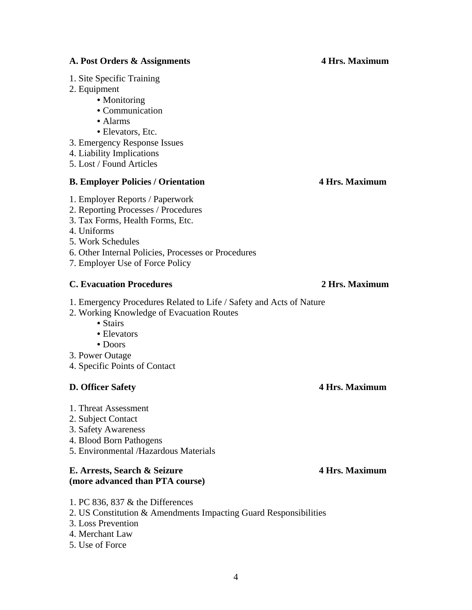#### **A. Post Orders & Assignments 4 Hrs. Maximum**

- 1. Site Specific Training
- 2. Equipment
	- Monitoring
		- Communication
		- Alarms
		- Elevators, Etc.
- 3. Emergency Response Issues
- 4. Liability Implications
- 5. Lost / Found Articles

#### **B. Employer Policies / Orientation 4 Hrs. Maximum**

- 1. Employer Reports / Paperwork
- 2. Reporting Processes / Procedures
- 3. Tax Forms, Health Forms, Etc.
- 4. Uniforms

5. Work Schedules

- 6. Other Internal Policies, Processes or Procedures
- 7. Employer Use of Force Policy

# **C. Evacuation Procedures 2 Hrs. Maximum**

- 1. Emergency Procedures Related to Life / Safety and Acts of Nature
- 2. Working Knowledge of Evacuation Routes
	- Stairs
	- Elevators
	- Doors
- 3. Power Outage
- 4. Specific Points of Contact

# **D. Officer Safety 4 Hrs. Maximum**

- 1. Threat Assessment
- 2. Subject Contact
- 3. Safety Awareness
- 4. Blood Born Pathogens
- 5. Environmental /Hazardous Materials

#### **E. Arrests, Search & Seizure 4 Hrs. Maximum (more advanced than PTA course)**

- 1. PC 836, 837 & the Differences
- 2. US Constitution & Amendments Impacting Guard Responsibilities
- 3. Loss Prevention
- 4. Merchant Law
- 5. Use of Force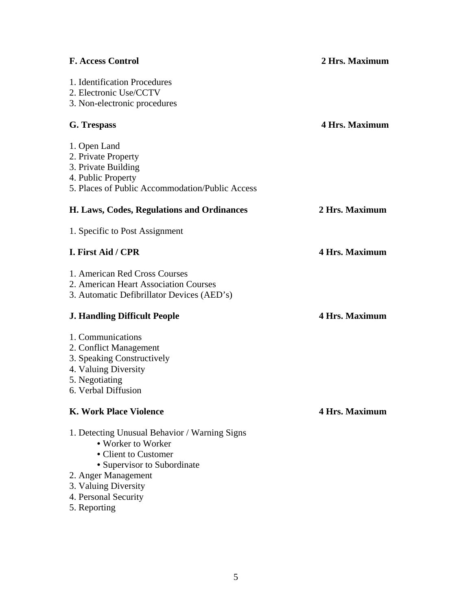| <b>F. Access Control</b>                        | 2 Hrs. Maximum        |
|-------------------------------------------------|-----------------------|
| 1. Identification Procedures                    |                       |
| 2. Electronic Use/CCTV                          |                       |
| 3. Non-electronic procedures                    |                       |
| G. Trespass                                     | <b>4 Hrs. Maximum</b> |
| 1. Open Land                                    |                       |
| 2. Private Property                             |                       |
| 3. Private Building                             |                       |
| 4. Public Property                              |                       |
| 5. Places of Public Accommodation/Public Access |                       |
| H. Laws, Codes, Regulations and Ordinances      | 2 Hrs. Maximum        |
| 1. Specific to Post Assignment                  |                       |
| I. First Aid / CPR                              | <b>4 Hrs. Maximum</b> |
| 1. American Red Cross Courses                   |                       |
| 2. American Heart Association Courses           |                       |
| 3. Automatic Defibrillator Devices (AED's)      |                       |
| <b>J. Handling Difficult People</b>             | <b>4 Hrs. Maximum</b> |
| 1. Communications                               |                       |
| 2. Conflict Management                          |                       |
| 3. Speaking Constructively                      |                       |
| 4. Valuing Diversity                            |                       |
| 5. Negotiating                                  |                       |
| 6. Verbal Diffusion                             |                       |
| <b>K. Work Place Violence</b>                   | <b>4 Hrs. Maximum</b> |
| 1. Detecting Unusual Behavior / Warning Signs   |                       |
| • Worker to Worker                              |                       |
| • Client to Customer                            |                       |
| • Supervisor to Subordinate                     |                       |
| 2. Anger Management                             |                       |
| 3. Valuing Diversity                            |                       |
| 4. Personal Security                            |                       |
| 5. Reporting                                    |                       |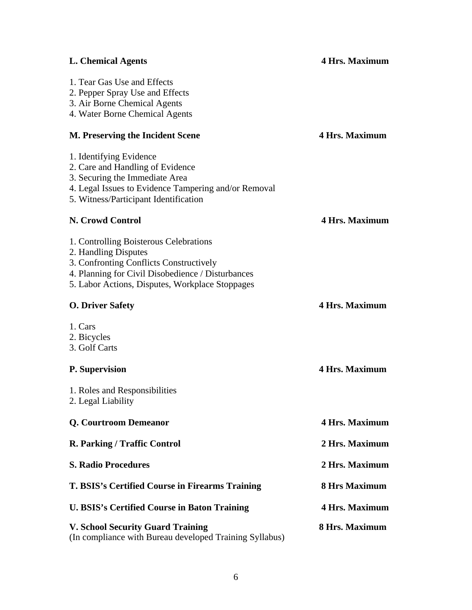| <b>L. Chemical Agents</b>                                                                                                                                                                                         | <b>4 Hrs. Maximum</b> |
|-------------------------------------------------------------------------------------------------------------------------------------------------------------------------------------------------------------------|-----------------------|
| 1. Tear Gas Use and Effects<br>2. Pepper Spray Use and Effects<br>3. Air Borne Chemical Agents<br>4. Water Borne Chemical Agents                                                                                  |                       |
| M. Preserving the Incident Scene                                                                                                                                                                                  | <b>4 Hrs. Maximum</b> |
| 1. Identifying Evidence<br>2. Care and Handling of Evidence<br>3. Securing the Immediate Area<br>4. Legal Issues to Evidence Tampering and/or Removal<br>5. Witness/Participant Identification                    |                       |
| N. Crowd Control                                                                                                                                                                                                  | <b>4 Hrs. Maximum</b> |
| 1. Controlling Boisterous Celebrations<br>2. Handling Disputes<br>3. Confronting Conflicts Constructively<br>4. Planning for Civil Disobedience / Disturbances<br>5. Labor Actions, Disputes, Workplace Stoppages |                       |
| <b>O. Driver Safety</b>                                                                                                                                                                                           | <b>4 Hrs. Maximum</b> |
| 1. Cars<br>2. Bicycles<br>3. Golf Carts                                                                                                                                                                           |                       |
| P. Supervision                                                                                                                                                                                                    | <b>4 Hrs. Maximum</b> |
| 1. Roles and Responsibilities<br>2. Legal Liability                                                                                                                                                               |                       |
| Q. Courtroom Demeanor                                                                                                                                                                                             | <b>4 Hrs. Maximum</b> |
| R. Parking / Traffic Control                                                                                                                                                                                      | 2 Hrs. Maximum        |
| <b>S. Radio Procedures</b>                                                                                                                                                                                        | 2 Hrs. Maximum        |
| T. BSIS's Certified Course in Firearms Training                                                                                                                                                                   | <b>8 Hrs Maximum</b>  |
| <b>U. BSIS's Certified Course in Baton Training</b>                                                                                                                                                               | <b>4 Hrs. Maximum</b> |
| <b>V. School Security Guard Training</b><br>(In compliance with Bureau developed Training Syllabus)                                                                                                               | 8 Hrs. Maximum        |

# 6